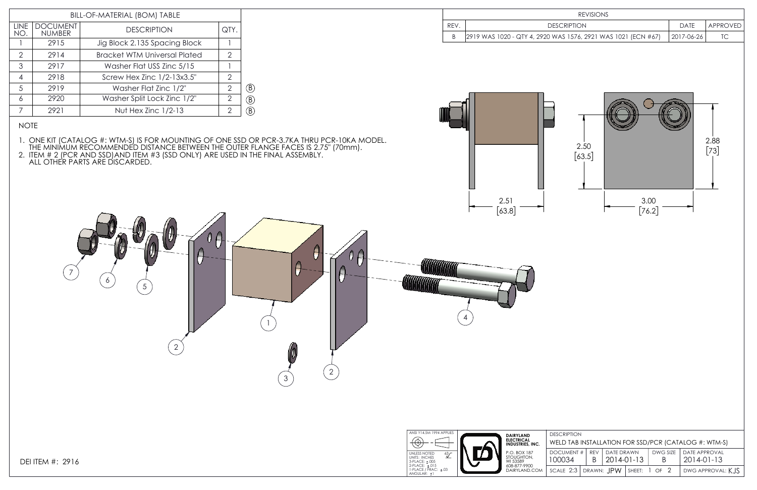3

 $\boxed{2}$ 

θ

2

1

4

5

6

7

### NOTE

1. ONE KIT (CATALOG #: WTM-S) IS FOR MOUNTING OF ONE SSD OR PCR-3.7KA THRU PCR-10KA MODEL. THE MINIMUM RECOMMENDED DISTANCE BETWEEN THE OUTER FLANGE FACES IS 2.75" (70mm).

 $\theta$ 

2. ITEM # 2 (PCR AND SSD)AND ITEM #3 (SSD ONLY) ARE USED IN THE FINAL ASSEMBLY. ALL OTHER PARTS ARE DISCARDED.

|             | <b>REVISIONS</b>                                                                       |            |                |
|-------------|----------------------------------------------------------------------------------------|------------|----------------|
| REV.        | <b>DESCRIPTION</b>                                                                     | DATE       | APPROVED       |
| $\mathsf B$ | 2919 WAS 1020 - QTY 4, 2920 WAS 1576, 2921 WAS 1021 (ECN #67)                          | 2017-06-26 | TC             |
|             | 2.50<br>$\begin{bmatrix} 63.5 \end{bmatrix}$<br>$3.00\,$<br>2.51<br>[63.8]<br>$[76.2]$ |            | 2.88<br>$[73]$ |



| BILL-OF-MATERIAL (BOM) TABLE                                                 |      |                                     |               |    |  |
|------------------------------------------------------------------------------|------|-------------------------------------|---------------|----|--|
| <b>DOCUMENT</b><br><b>LINE</b><br><b>DESCRIPTION</b><br><b>NUMBER</b><br>NO. |      |                                     |               |    |  |
|                                                                              | 2915 | Jig Block 2.135 Spacing Block       |               |    |  |
| $\mathcal{P}$                                                                | 2914 | <b>Bracket WTM Universal Plated</b> | $\mathcal{D}$ |    |  |
| 3                                                                            | 2917 | Washer Flat USS Zinc 5/15           |               |    |  |
| 4                                                                            | 2918 | Screw Hex Zinc 1/2-13x3.5"          | $\mathcal{P}$ |    |  |
| .5                                                                           | 2919 | Washer Flat Zinc 1/2"               | $\mathcal{P}$ | B) |  |
| 6                                                                            | 2920 | Washer Split Lock Zinc 1/2"         | 2             | B) |  |
|                                                                              | 2921 | Nut Hex Zinc $1/2-13$               | 2             |    |  |
|                                                                              |      |                                     |               |    |  |



| <b>DESCRIPTION</b>                                   |            |                   |  |   |                          |  |  |  |
|------------------------------------------------------|------------|-------------------|--|---|--------------------------|--|--|--|
| WELD TAB INSTALLATION FOR SSD/PCR (CATALOG #: WTM-S) |            |                   |  |   |                          |  |  |  |
| <b>DOCUMENT#</b>                                     | <b>RFV</b> | <b>DATE DRAWN</b> |  |   | DWG SIZE   DATE APPROVAL |  |  |  |
| 100034                                               |            | 2014-01-13        |  | B | 2014-01-13               |  |  |  |
| scale 2:3   drawn: JPW   sheet: 1 of 2               |            |                   |  |   | DWG APPROVAL: KJS        |  |  |  |
|                                                      |            |                   |  |   |                          |  |  |  |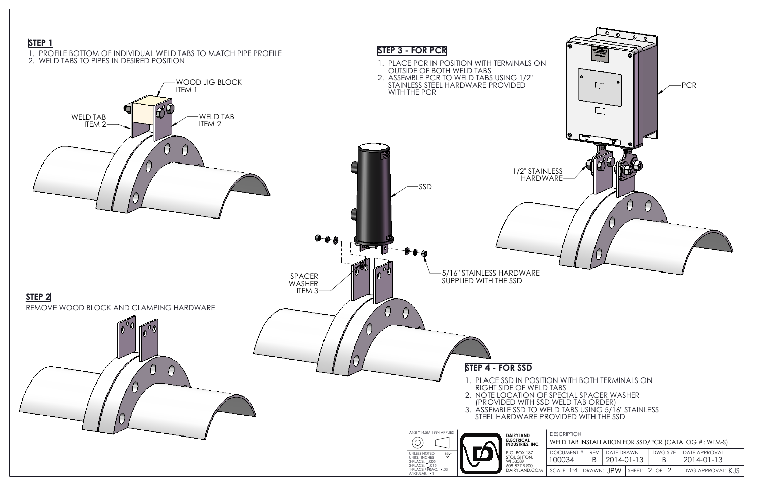

| ELD TABS USING 5/16" STAINLESS<br><b>OVIDED WITH THE SSD</b>        |                                                                                  |            |               |                   |            |  |  |  |
|---------------------------------------------------------------------|----------------------------------------------------------------------------------|------------|---------------|-------------------|------------|--|--|--|
| DESCRIPTION<br>WELD TAB INSTALLATION FOR SSD/PCR (CATALOG #: WTM-S) |                                                                                  |            |               |                   |            |  |  |  |
|                                                                     | DWG SIZE<br><b>DATE APPROVAL</b><br>DOCUMENT#<br><b>DATE DRAWN</b><br><b>REV</b> |            |               |                   |            |  |  |  |
| 100034                                                              | B                                                                                | 2014-01-13 |               | B                 | 2014-01-13 |  |  |  |
| DRAWN: JPW<br>$SCALE$ 1:4                                           |                                                                                  |            | SHEET: 2 OF 2 | DWG APPROVAL: KJS |            |  |  |  |
|                                                                     |                                                                                  |            |               |                   |            |  |  |  |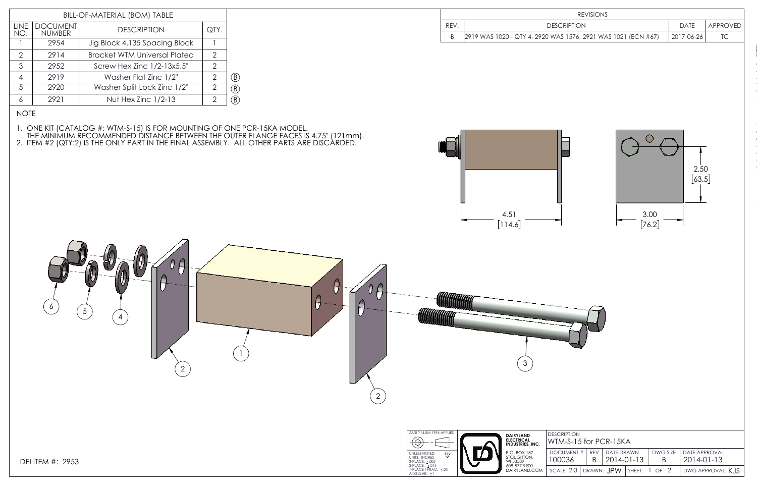1

| REV. | <b>DES</b>                     |
|------|--------------------------------|
|      | 2919 WAS 1020 - QTY 4, 2920 WA |

2

 $0\beta$ 

 $\left(2\right)$ 

θ

## NOTE

1. ONE KIT (CATALOG #: WTM-S-15) IS FOR MOUNTING OF ONE PCR-15KA MODEL. THE MINIMUM RECOMMENDED DISTANCE BETWEEN THE OUTER FLANGE FACES IS 4.75" (121mm).

2. ITEM #2 (QTY:2) IS THE ONLY PART IN THE FINAL ASSEMBLY. ALL OTHER PARTS ARE DISCARDED.

DEI ITEM #: 2953

 $\begin{pmatrix} 6 \end{pmatrix}$   $\begin{pmatrix} 5 \end{pmatrix}$   $\begin{pmatrix} 4 \end{pmatrix}$ 

| BILL-OF-MATERIAL (BOM) TABLE |                                                        |                               |                |    |  |  |
|------------------------------|--------------------------------------------------------|-------------------------------|----------------|----|--|--|
| <b>LINE</b><br>NO.           | <b>DOCUMENT</b><br><b>DESCRIPTION</b><br><b>NUMBER</b> |                               |                |    |  |  |
|                              | 2954                                                   | Jig Block 4.135 Spacing Block |                |    |  |  |
| $\mathcal{P}$                | <b>Bracket WTM Universal Plated</b><br>2914            |                               |                |    |  |  |
| 3                            | Screw Hex Zinc 1/2-13x5.5"<br>2952                     |                               |                |    |  |  |
|                              | 2919                                                   | Washer Flat Zinc 1/2"         | $\overline{2}$ | B) |  |  |
| 5                            | 2920                                                   | Washer Split Lock Zinc 1/2"   | 2              | B) |  |  |
|                              | 2921                                                   | Nut Hex Zinc 1/2-13           | 2              |    |  |  |

|                             | <b>REVISIONS</b>                                                                                                                                                                                                                                                                        |                             |                             |                   |
|-----------------------------|-----------------------------------------------------------------------------------------------------------------------------------------------------------------------------------------------------------------------------------------------------------------------------------------|-----------------------------|-----------------------------|-------------------|
| REV.                        | <b>DESCRIPTION</b>                                                                                                                                                                                                                                                                      |                             | <b>DATE</b>                 | APPROVED          |
| $\sf B$                     | 2919 WAS 1020 - QTY 4, 2920 WAS 1576, 2921 WAS 1021 (ECN #67)                                                                                                                                                                                                                           |                             | 2017-06-26                  | TC                |
|                             | ◯<br>4.51<br>3.00<br>$[76.2]$<br>[114.6]                                                                                                                                                                                                                                                |                             | 2.50<br>$[63.5]$            |                   |
|                             | $\mathfrak{S}$                                                                                                                                                                                                                                                                          |                             |                             |                   |
| PLIES<br>$\frac{3}{2}$<br>3 | <b>DESCRIPTION</b><br><b>DAIRYLAND</b><br>ELECTRICAL<br>INDUSTRIES, INC.<br>WTM-S-15 for PCR-15KA<br><b>DOCUMENT#</b><br>REV<br>DATE DRAWN<br>P.O. BOX 187<br>STOUGHTON,<br>WI 53589<br>608-877-9900<br>DAIRYLAND.COM<br>100036<br>2014-01-13<br>B<br>DRAWN: JPW<br>SCALE 2:3<br>SHEET: | DWG SIZE<br>B<br>$1$ OF $2$ | DATE APPROVAL<br>2014-01-13 | DWG APPROVAL: KJS |